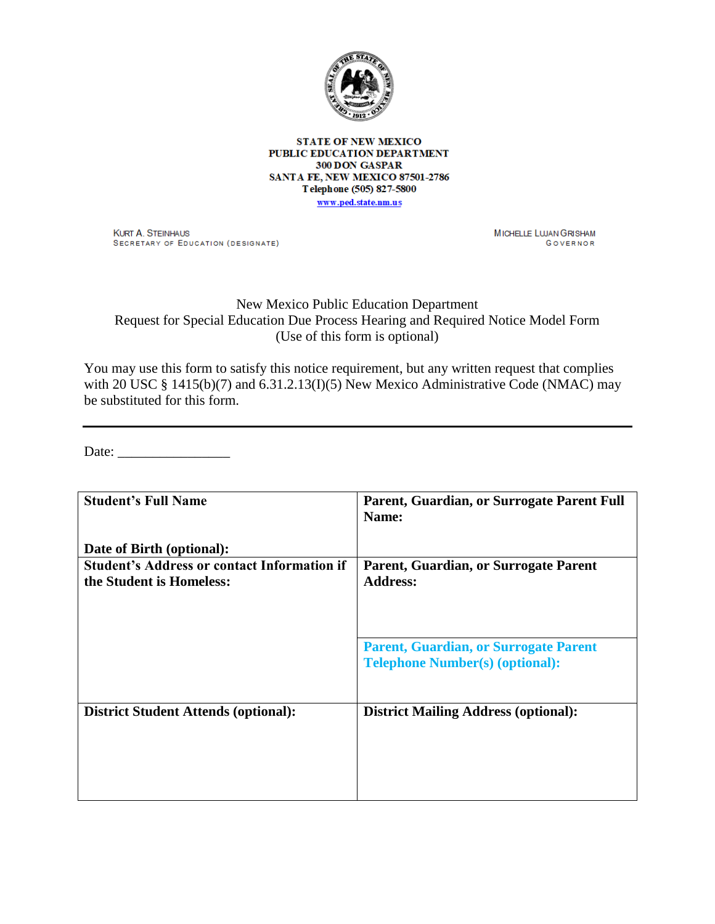

**STATE OF NEW MEXICO** PUBLIC EDUCATION DEPARTMENT 300 DON GASPAR SANTA FE, NEW MEXICO 87501-2786 Telephone (505) 827-5800 www.ped.state.nm.us

**KURT A. STEINHAUS** SECRETARY OF EDUCATION (DESIGNATE) MICHELLE LWAN GRISHAM GOVERNOR

## New Mexico Public Education Department Request for Special Education Due Process Hearing and Required Notice Model Form (Use of this form is optional)

You may use this form to satisfy this notice requirement, but any written request that complies with 20 USC § 1415(b)(7) and 6.31.2.13(I)(5) New Mexico Administrative Code (NMAC) may be substituted for this form.

Date:

| <b>Student's Full Name</b>                         | Parent, Guardian, or Surrogate Parent Full                                             |
|----------------------------------------------------|----------------------------------------------------------------------------------------|
|                                                    | Name:                                                                                  |
| Date of Birth (optional):                          |                                                                                        |
| <b>Student's Address or contact Information if</b> | Parent, Guardian, or Surrogate Parent                                                  |
| the Student is Homeless:                           | <b>Address:</b>                                                                        |
|                                                    |                                                                                        |
|                                                    | <b>Parent, Guardian, or Surrogate Parent</b><br><b>Telephone Number(s) (optional):</b> |
| <b>District Student Attends (optional):</b>        | <b>District Mailing Address (optional):</b>                                            |
|                                                    |                                                                                        |
|                                                    |                                                                                        |
|                                                    |                                                                                        |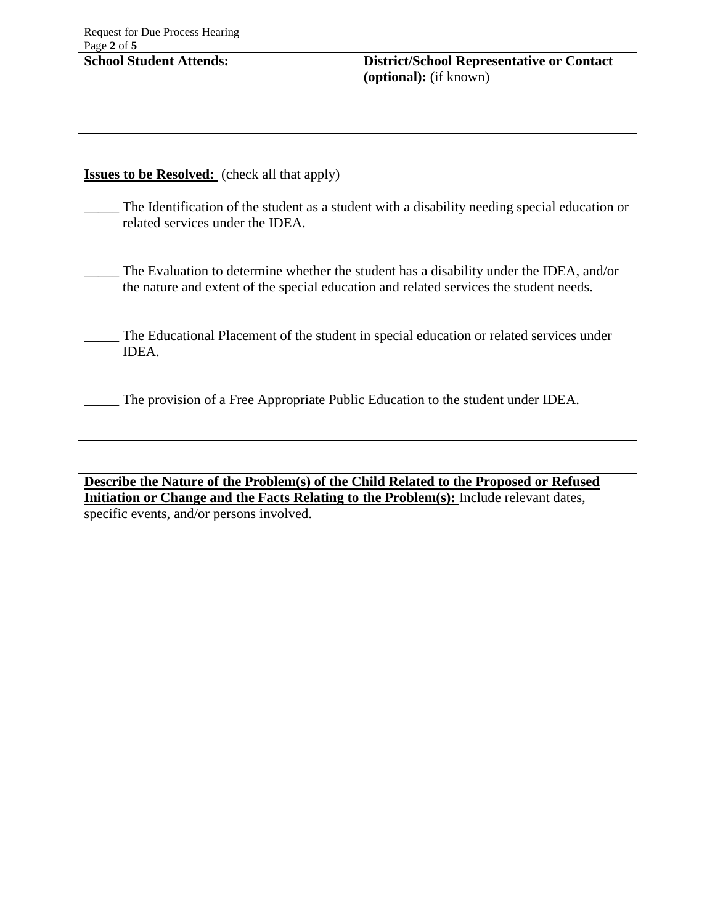| <b>School Student Attends:</b> | <b>District/School Representative or Contact</b><br><b>(optional):</b> (if known) |
|--------------------------------|-----------------------------------------------------------------------------------|
|                                |                                                                                   |

| <b>Issues to be Resolved:</b> (check all that apply)                                                                                                                              |  |  |
|-----------------------------------------------------------------------------------------------------------------------------------------------------------------------------------|--|--|
| The Identification of the student as a student with a disability needing special education or<br>related services under the IDEA.                                                 |  |  |
| The Evaluation to determine whether the student has a disability under the IDEA, and/or<br>the nature and extent of the special education and related services the student needs. |  |  |
| The Educational Placement of the student in special education or related services under<br>IDEA.                                                                                  |  |  |
| The provision of a Free Appropriate Public Education to the student under IDEA.                                                                                                   |  |  |

**Describe the Nature of the Problem(s) of the Child Related to the Proposed or Refused Initiation or Change and the Facts Relating to the Problem(s):** Include relevant dates, specific events, and/or persons involved.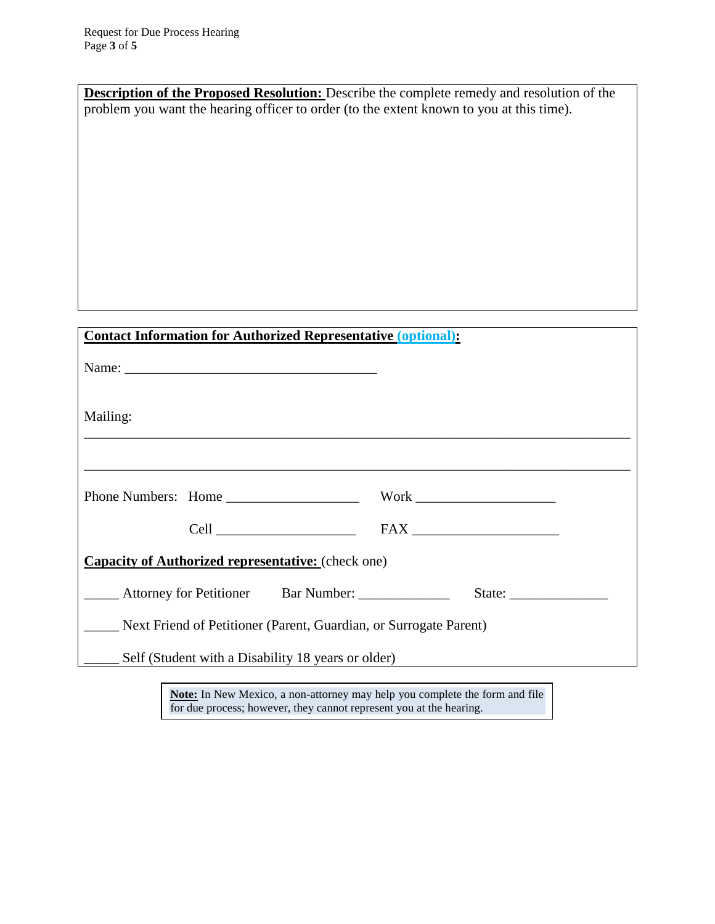| Description of the Proposed Resolution: Describe the complete remedy and resolution of the                                                                                                                                     |        |  |
|--------------------------------------------------------------------------------------------------------------------------------------------------------------------------------------------------------------------------------|--------|--|
| problem you want the hearing officer to order (to the extent known to you at this time).                                                                                                                                       |        |  |
|                                                                                                                                                                                                                                |        |  |
|                                                                                                                                                                                                                                |        |  |
|                                                                                                                                                                                                                                |        |  |
|                                                                                                                                                                                                                                |        |  |
|                                                                                                                                                                                                                                |        |  |
|                                                                                                                                                                                                                                |        |  |
|                                                                                                                                                                                                                                |        |  |
|                                                                                                                                                                                                                                |        |  |
|                                                                                                                                                                                                                                |        |  |
|                                                                                                                                                                                                                                |        |  |
|                                                                                                                                                                                                                                |        |  |
| <b>Contact Information for Authorized Representative (optional):</b>                                                                                                                                                           |        |  |
|                                                                                                                                                                                                                                |        |  |
|                                                                                                                                                                                                                                |        |  |
|                                                                                                                                                                                                                                |        |  |
| Mailing:                                                                                                                                                                                                                       |        |  |
|                                                                                                                                                                                                                                |        |  |
|                                                                                                                                                                                                                                |        |  |
|                                                                                                                                                                                                                                |        |  |
| Phone Numbers: Home Numbers: North Work Numbers: North Numbers: North Numbers: North Numbers: North Numbers: Numbers: Numbers: Numbers: Numbers: Numbers: Numbers: Numbers: Numbers: Numbers: Numbers: Numbers: Numbers: Numbe |        |  |
|                                                                                                                                                                                                                                |        |  |
|                                                                                                                                                                                                                                |        |  |
| <b>Capacity of Authorized representative:</b> (check one)                                                                                                                                                                      |        |  |
| Attorney for Petitioner Bar Number: ____________                                                                                                                                                                               | State: |  |
| _____ Next Friend of Petitioner (Parent, Guardian, or Surrogate Parent)                                                                                                                                                        |        |  |
| Self (Student with a Disability 18 years or older)                                                                                                                                                                             |        |  |
|                                                                                                                                                                                                                                |        |  |

**Note:** In New Mexico, a non-attorney may help you complete the form and file for due process; however, they cannot represent you at the hearing.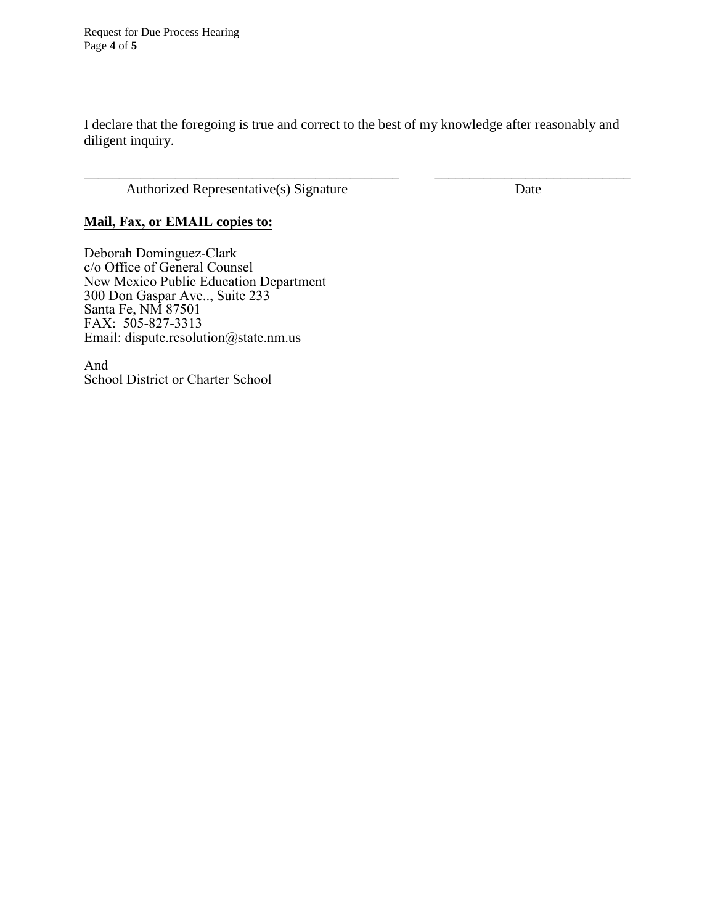I declare that the foregoing is true and correct to the best of my knowledge after reasonably and diligent inquiry.

\_\_\_\_\_\_\_\_\_\_\_\_\_\_\_\_\_\_\_\_\_\_\_\_\_\_\_\_\_\_\_\_\_\_\_\_\_\_\_\_\_\_\_\_\_ \_\_\_\_\_\_\_\_\_\_\_\_\_\_\_\_\_\_\_\_\_\_\_\_\_\_\_\_

Authorized Representative(s) Signature Date

## **Mail, Fax, or EMAIL copies to:**

Deborah Dominguez-Clark c/o Office of General Counsel New Mexico Public Education Department 300 Don Gaspar Ave.., Suite 233 Santa Fe, NM 87501 FAX: 505-827-3313 Email: dispute.resolution@state.nm.us

And School District or Charter School